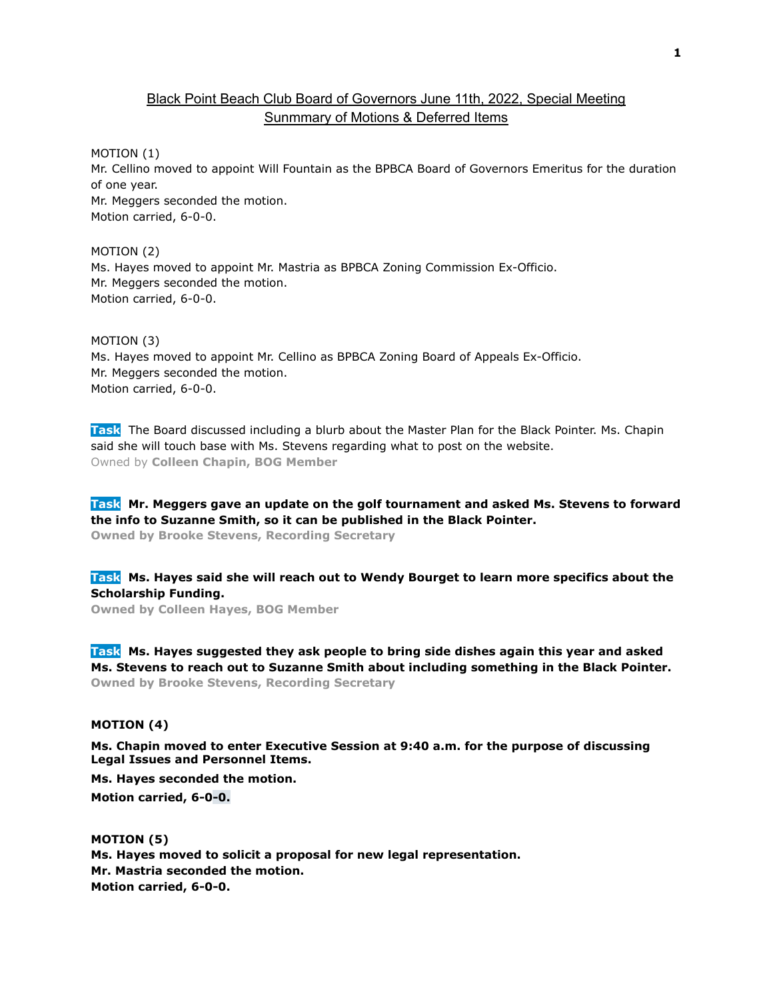## Black Point Beach Club Board of Governors June 11th, 2022, Special Meeting Sunmmary of Motions & Deferred Items

MOTION (1)

Mr. Cellino moved to appoint Will Fountain as the BPBCA Board of Governors Emeritus for the duration of one year. Mr. Meggers seconded the motion.

Motion carried, 6-0-0.

MOTION (2) Ms. Hayes moved to appoint Mr. Mastria as BPBCA Zoning Commission Ex-Officio. Mr. Meggers seconded the motion. Motion carried, 6-0-0.

## MOTION (3)

Ms. Hayes moved to appoint Mr. Cellino as BPBCA Zoning Board of Appeals Ex-Officio. Mr. Meggers seconded the motion. Motion carried, 6-0-0.

**Task** The Board discussed including a blurb about the Master Plan for the Black Pointer. Ms. Chapin said she will touch base with Ms. Stevens regarding what to post on the website. Owned by **Colleen Chapin, BOG Member**

**Task Mr. Meggers gave an update on the golf tournament and asked Ms. Stevens to forward the info to Suzanne Smith, so it can be published in the Black Pointer. Owned by Brooke Stevens, Recording Secretary**

**Task Ms. Hayes said she will reach out to Wendy Bourget to learn more specifics about the Scholarship Funding.**

**Owned by Colleen Hayes, BOG Member**

**Task Ms. Hayes suggested they ask people to bring side dishes again this year and asked Ms. Stevens to reach out to Suzanne Smith about including something in the Black Pointer. Owned by Brooke Stevens, Recording Secretary**

## **MOTION (4)**

**Ms. Chapin moved to enter Executive Session at 9:40 a.m. for the purpose of discussing Legal Issues and Personnel Items.**

**Ms. Hayes seconded the motion. Motion carried, 6-0-0.**

**MOTION (5) Ms. Hayes moved to solicit a proposal for new legal representation. Mr. Mastria seconded the motion. Motion carried, 6-0-0.**